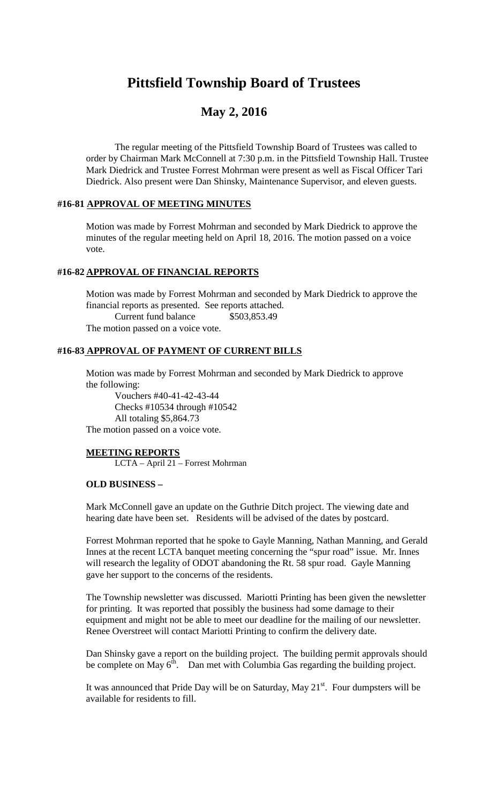# **Pittsfield Township Board of Trustees**

# **May 2, 2016**

The regular meeting of the Pittsfield Township Board of Trustees was called to order by Chairman Mark McConnell at 7:30 p.m. in the Pittsfield Township Hall. Trustee Mark Diedrick and Trustee Forrest Mohrman were present as well as Fiscal Officer Tari Diedrick. Also present were Dan Shinsky, Maintenance Supervisor, and eleven guests.

#### **#16-81 APPROVAL OF MEETING MINUTES**

Motion was made by Forrest Mohrman and seconded by Mark Diedrick to approve the minutes of the regular meeting held on April 18, 2016. The motion passed on a voice vote.

# **#16-82 APPROVAL OF FINANCIAL REPORTS**

Motion was made by Forrest Mohrman and seconded by Mark Diedrick to approve the financial reports as presented. See reports attached. Current fund balance \$503,853.49 The motion passed on a voice vote.

# **#16-83 APPROVAL OF PAYMENT OF CURRENT BILLS**

Motion was made by Forrest Mohrman and seconded by Mark Diedrick to approve the following:

Vouchers #40-41-42-43-44 Checks #10534 through #10542 All totaling \$5,864.73 The motion passed on a voice vote.

#### **MEETING REPORTS**

LCTA – April 21 – Forrest Mohrman

#### **OLD BUSINESS –**

Mark McConnell gave an update on the Guthrie Ditch project. The viewing date and hearing date have been set. Residents will be advised of the dates by postcard.

Forrest Mohrman reported that he spoke to Gayle Manning, Nathan Manning, and Gerald Innes at the recent LCTA banquet meeting concerning the "spur road" issue. Mr. Innes will research the legality of ODOT abandoning the Rt. 58 spur road. Gayle Manning gave her support to the concerns of the residents.

The Township newsletter was discussed. Mariotti Printing has been given the newsletter for printing. It was reported that possibly the business had some damage to their equipment and might not be able to meet our deadline for the mailing of our newsletter. Renee Overstreet will contact Mariotti Printing to confirm the delivery date.

Dan Shinsky gave a report on the building project. The building permit approvals should be complete on May  $6<sup>th</sup>$ . Dan met with Columbia Gas regarding the building project.

It was announced that Pride Day will be on Saturday, May  $21^{st}$ . Four dumpsters will be available for residents to fill.